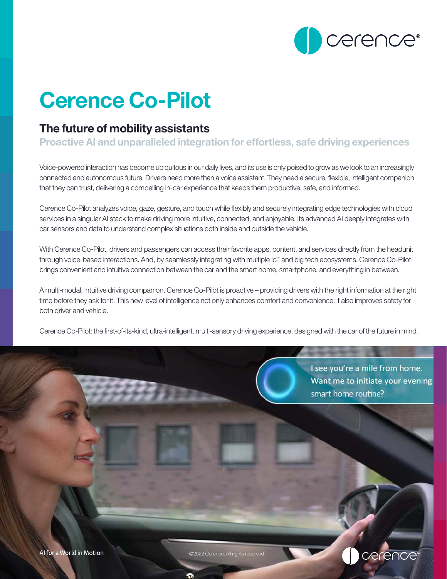

# Cerence Co-Pilot

# The future of mobility assistants

Proactive AI and unparalleled integration for effortless, safe driving experiences

Voice-powered interaction has become ubiquitous in our daily lives, and its use is only poised to grow as we look to an increasingly connected and autonomous future. Drivers need more than a voice assistant. They need a secure, flexible, intelligent companion that they can trust, delivering a compelling in-car experience that keeps them productive, safe, and informed.

Cerence Co-Pilot analyzes voice, gaze, gesture, and touch while flexibly and securely integrating edge technologies with cloud services in a singular AI stack to make driving more intuitive, connected, and enjoyable. Its advanced AI deeply integrates with car sensors and data to understand complex situations both inside and outside the vehicle.

With Cerence Co-Pilot, drivers and passengers can access their favorite apps, content, and services directly from the headunit through voice-based interactions. And, by seamlessly integrating with multiple IoT and big tech ecosystems, Cerence Co-Pilot brings convenient and intuitive connection between the car and the smart home, smartphone, and everything in between.

A multi-modal, intuitive driving companion, Cerence Co-Pilot is proactive – providing drivers with the right information at the right time before they ask for it. This new level of intelligence not only enhances comfort and convenience; it also improves safety for both driver and vehicle.

Cerence Co-Pilot: the first-of-its-kind, ultra-intelligent, multi-sensory driving experience, designed with the car of the future in mind.

I see you're a mile from home. Want me to initiate your evening smart home routine?

cerence<sup>®</sup>